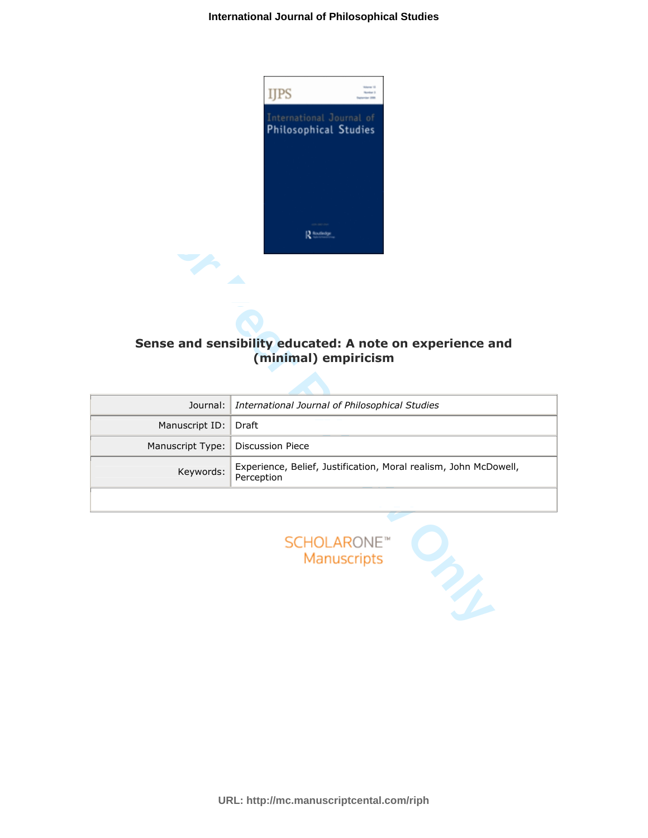

# Sense and sensibility educated: A note on experience and (minimal) empiricism

| Sense and sensibility educated: A note on experience and<br>(minimal) empiricism |                                                                                |
|----------------------------------------------------------------------------------|--------------------------------------------------------------------------------|
| Journal:                                                                         | International Journal of Philosophical Studies                                 |
| Manuscript ID:                                                                   | Draft                                                                          |
| Manuscript Type:                                                                 | <b>Discussion Piece</b>                                                        |
| Keywords:                                                                        | Experience, Belief, Justification, Moral realism, John McDowell,<br>Perception |
|                                                                                  |                                                                                |
| <b>SCHOLARONE™</b><br>Manuscripts                                                |                                                                                |



**URL: http://mc.manuscriptcental.com/riph**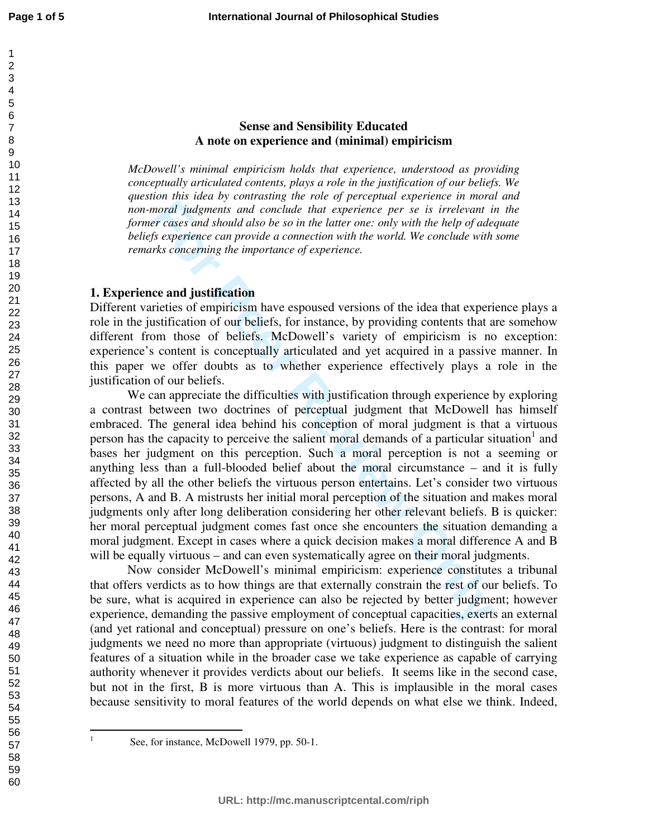# **Sense and Sensibility Educated A note on experience and (minimal) empiricism**

*McDowell's minimal empiricism holds that experience, understood as providing conceptually articulated contents, plays a role in the justification of our beliefs. We question this idea by contrasting the role of perceptual experience in moral and non-moral judgments and conclude that experience per se is irrelevant in the former cases and should also be so in the latter one: only with the help of adequate beliefs experience can provide a connection with the world. We conclude with some remarks concerning the importance of experience.*

## **1. Experience and justification**

Different varieties of empiricism have espoused versions of the idea that experience plays a role in the justification of our beliefs, for instance, by providing contents that are somehow different from those of beliefs. McDowell's variety of empiricism is no exception: experience's content is conceptually articulated and yet acquired in a passive manner. In this paper we offer doubts as to whether experience effectively plays a role in the justification of our beliefs.

**For the same stand should also be so in the later one specified experience per set in the stand for the stand for the stand for the stand for the stand is the stand one of the stand one of the stand with the help of data** We can appreciate the difficulties with justification through experience by exploring a contrast between two doctrines of perceptual judgment that McDowell has himself embraced. The general idea behind his conception of moral judgment is that a virtuous person has the capacity to perceive the salient moral demands of a particular situation<sup>1</sup> and bases her judgment on this perception. Such a moral perception is not a seeming or anything less than a full-blooded belief about the moral circumstance – and it is fully affected by all the other beliefs the virtuous person entertains. Let's consider two virtuous persons, A and B. A mistrusts her initial moral perception of the situation and makes moral judgments only after long deliberation considering her other relevant beliefs. B is quicker: her moral perceptual judgment comes fast once she encounters the situation demanding a moral judgment. Except in cases where a quick decision makes a moral difference A and B will be equally virtuous – and can even systematically agree on their moral judgments.

Now consider McDowell's minimal empiricism: experience constitutes a tribunal that offers verdicts as to how things are that externally constrain the rest of our beliefs. To be sure, what is acquired in experience can also be rejected by better judgment; however experience, demanding the passive employment of conceptual capacities, exerts an external (and yet rational and conceptual) pressure on one's beliefs. Here is the contrast: for moral judgments we need no more than appropriate (virtuous) judgment to distinguish the salient features of a situation while in the broader case we take experience as capable of carrying authority whenever it provides verdicts about our beliefs. It seems like in the second case, but not in the first, B is more virtuous than A. This is implausible in the moral cases because sensitivity to moral features of the world depends on what else we think. Indeed,

 $\frac{1}{1}$ 

See, for instance, McDowell 1979, pp. 50-1.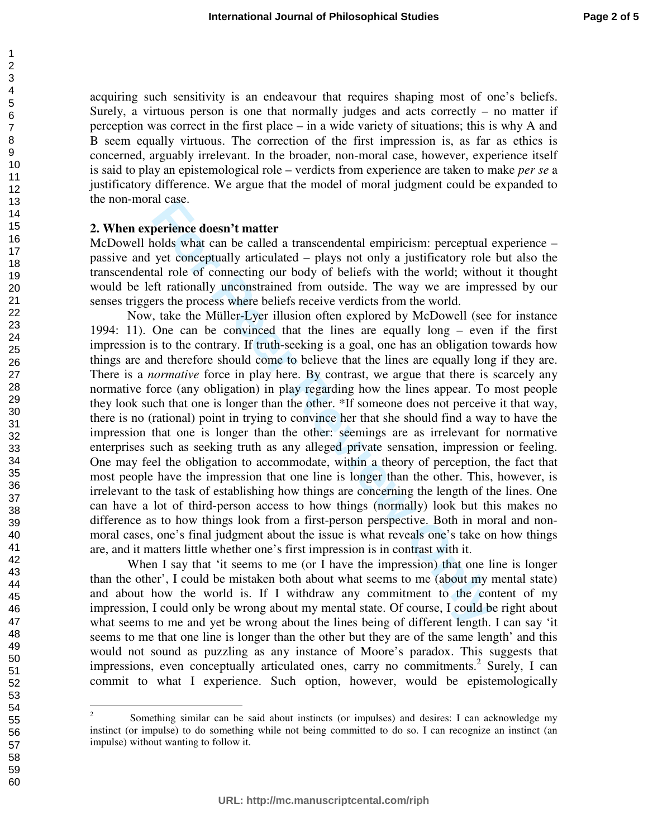acquiring such sensitivity is an endeavour that requires shaping most of one's beliefs. Surely, a virtuous person is one that normally judges and acts correctly  $-$  no matter if perception was correct in the first place – in a wide variety of situations; this is why A and B seem equally virtuous. The correction of the first impression is, as far as ethics is concerned, arguably irrelevant. In the broader, non-moral case, however, experience itself is said to play an epistemological role – verdicts from experience are taken to make *per se* a justificatory difference. We argue that the model of moral judgment could be expanded to the non-moral case.

#### **2. When experience doesn't matter**

McDowell holds what can be called a transcendental empiricism: perceptual experience – passive and yet conceptually articulated – plays not only a justificatory role but also the transcendental role of connecting our body of beliefs with the world; without it thought would be left rationally unconstrained from outside. The way we are impressed by our senses triggers the process where beliefs receive verdicts from the world.

arease.<br> **Exercise doesn't matter**<br>
broods what can be called a transcendental empiricism: perceptual of<br>
yet concectingly articulated – plays not only a justificatory role<br>
lal role of connecting our body of beliefs with Now, take the Müller-Lyer illusion often explored by McDowell (see for instance 1994: 11). One can be convinced that the lines are equally long – even if the first impression is to the contrary. If truth-seeking is a goal, one has an obligation towards how things are and therefore should come to believe that the lines are equally long if they are. There is a *normative* force in play here. By contrast, we argue that there is scarcely any normative force (any obligation) in play regarding how the lines appear. To most people they look such that one is longer than the other. \*If someone does not perceive it that way, there is no (rational) point in trying to convince her that she should find a way to have the impression that one is longer than the other: seemings are as irrelevant for normative enterprises such as seeking truth as any alleged private sensation, impression or feeling. One may feel the obligation to accommodate, within a theory of perception, the fact that most people have the impression that one line is longer than the other. This, however, is irrelevant to the task of establishing how things are concerning the length of the lines. One can have a lot of third-person access to how things (normally) look but this makes no difference as to how things look from a first-person perspective. Both in moral and nonmoral cases, one's final judgment about the issue is what reveals one's take on how things are, and it matters little whether one's first impression is in contrast with it.

When I say that 'it seems to me (or I have the impression) that one line is longer than the other', I could be mistaken both about what seems to me (about my mental state) and about how the world is. If I withdraw any commitment to the content of my impression, I could only be wrong about my mental state. Of course, I could be right about what seems to me and yet be wrong about the lines being of different length. I can say 'it seems to me that one line is longer than the other but they are of the same length' and this would not sound as puzzling as any instance of Moore's paradox. This suggests that impressions, even conceptually articulated ones, carry no commitments. 2 Surely, I can commit to what I experience. Such option, however, would be epistemologically

 $\frac{1}{2}$  Something similar can be said about instincts (or impulses) and desires: I can acknowledge my instinct (or impulse) to do something while not being committed to do so. I can recognize an instinct (an impulse) without wanting to follow it.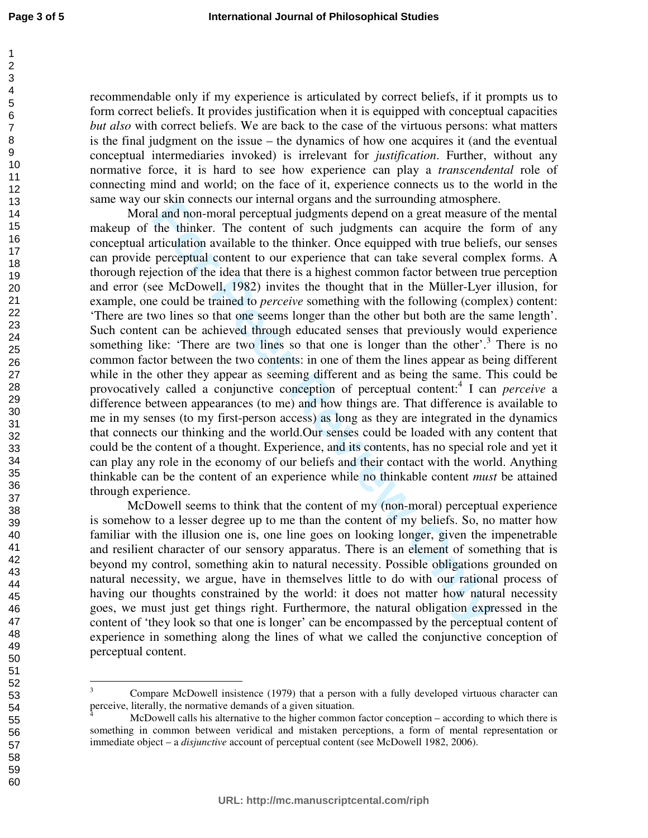$\overline{a}$ 

recommendable only if my experience is articulated by correct beliefs, if it prompts us to form correct beliefs. It provides justification when it is equipped with conceptual capacities *but also* with correct beliefs. We are back to the case of the virtuous persons: what matters is the final judgment on the issue – the dynamics of how one acquires it (and the eventual conceptual intermediaries invoked) is irrelevant for *justification*. Further, without any normative force, it is hard to see how experience can play a *transcendental* role of connecting mind and world; on the face of it, experience connects us to the world in the same way our skin connects our internal organs and the surrounding atmosphere.

**F**SRACT methat organs and the summan start and the summan start and and and non-moral perceptual judgments depend on a great measure the thinker. The content of such judgments can acquire the flicter tritualition availabl Moral and non-moral perceptual judgments depend on a great measure of the mental makeup of the thinker. The content of such judgments can acquire the form of any conceptual articulation available to the thinker. Once equipped with true beliefs, our senses can provide perceptual content to our experience that can take several complex forms. A thorough rejection of the idea that there is a highest common factor between true perception and error (see McDowell, 1982) invites the thought that in the Müller-Lyer illusion, for example, one could be trained to *perceive* something with the following (complex) content: 'There are two lines so that one seems longer than the other but both are the same length'. Such content can be achieved through educated senses that previously would experience something like: 'There are two lines so that one is longer than the other'.<sup>3</sup> There is no common factor between the two contents: in one of them the lines appear as being different while in the other they appear as seeming different and as being the same. This could be provocatively called a conjunctive conception of perceptual content:<sup>4</sup> I can *perceive* a difference between appearances (to me) and how things are. That difference is available to me in my senses (to my first-person access) as long as they are integrated in the dynamics that connects our thinking and the world.Our senses could be loaded with any content that could be the content of a thought. Experience, and its contents, has no special role and yet it can play any role in the economy of our beliefs and their contact with the world. Anything thinkable can be the content of an experience while no thinkable content *must* be attained through experience.

McDowell seems to think that the content of my (non-moral) perceptual experience is somehow to a lesser degree up to me than the content of my beliefs. So, no matter how familiar with the illusion one is, one line goes on looking longer, given the impenetrable and resilient character of our sensory apparatus. There is an element of something that is beyond my control, something akin to natural necessity. Possible obligations grounded on natural necessity, we argue, have in themselves little to do with our rational process of having our thoughts constrained by the world: it does not matter how natural necessity goes, we must just get things right. Furthermore, the natural obligation expressed in the content of 'they look so that one is longer' can be encompassed by the perceptual content of experience in something along the lines of what we called the conjunctive conception of perceptual content.

<sup>3</sup> Compare McDowell insistence (1979) that a person with a fully developed virtuous character can perceive, literally, the normative demands of a given situation.

<sup>4</sup> McDowell calls his alternative to the higher common factor conception – according to which there is something in common between veridical and mistaken perceptions, a form of mental representation or immediate object – a *disjunctive* account of perceptual content (see McDowell 1982, 2006).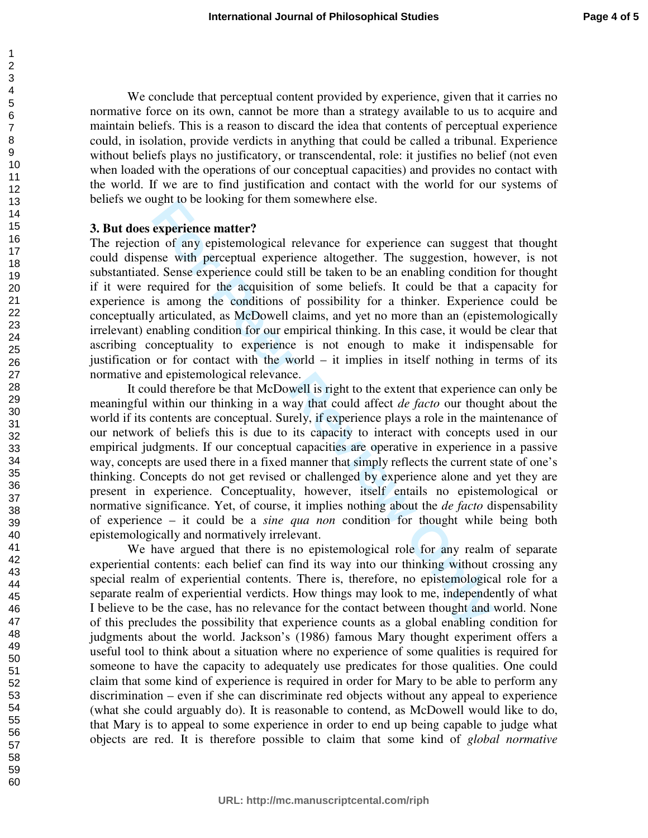We conclude that perceptual content provided by experience, given that it carries no normative force on its own, cannot be more than a strategy available to us to acquire and maintain beliefs. This is a reason to discard the idea that contents of perceptual experience could, in isolation, provide verdicts in anything that could be called a tribunal. Experience without beliefs plays no justificatory, or transcendental, role: it justifies no belief (not even when loaded with the operations of our conceptual capacities) and provides no contact with the world. If we are to find justification and contact with the world for our systems of beliefs we ought to be looking for them somewhere else.

#### **3. But does experience matter?**

The rejection of any epistemological relevance for experience can suggest that thought could dispense with perceptual experience altogether. The suggestion, however, is not substantiated. Sense experience could still be taken to be an enabling condition for thought if it were required for the acquisition of some beliefs. It could be that a capacity for experience is among the conditions of possibility for a thinker. Experience could be conceptually articulated, as McDowell claims, and yet no more than an (epistemologically irrelevant) enabling condition for our empirical thinking. In this case, it would be clear that ascribing conceptuality to experience is not enough to make it indispensable for justification or for contact with the world – it implies in itself nothing in terms of its normative and epistemological relevance.

ogin to be looking for them somewhete eise.<br> **Experience matter?**<br>
In of any epistemological relevance for experience can suggest<br>
In small of proceptual experience altogether. The suggestion, how<br>
I. Sense experience coul It could therefore be that McDowell is right to the extent that experience can only be meaningful within our thinking in a way that could affect *de facto* our thought about the world if its contents are conceptual. Surely, if experience plays a role in the maintenance of our network of beliefs this is due to its capacity to interact with concepts used in our empirical judgments. If our conceptual capacities are operative in experience in a passive way, concepts are used there in a fixed manner that simply reflects the current state of one's thinking. Concepts do not get revised or challenged by experience alone and yet they are present in experience. Conceptuality, however, itself entails no epistemological or normative significance. Yet, of course, it implies nothing about the *de facto* dispensability of experience – it could be a *sine qua non* condition for thought while being both epistemologically and normatively irrelevant.

We have argued that there is no epistemological role for any realm of separate experiential contents: each belief can find its way into our thinking without crossing any special realm of experiential contents. There is, therefore, no epistemological role for a separate realm of experiential verdicts. How things may look to me, independently of what I believe to be the case, has no relevance for the contact between thought and world. None of this precludes the possibility that experience counts as a global enabling condition for judgments about the world. Jackson's (1986) famous Mary thought experiment offers a useful tool to think about a situation where no experience of some qualities is required for someone to have the capacity to adequately use predicates for those qualities. One could claim that some kind of experience is required in order for Mary to be able to perform any discrimination – even if she can discriminate red objects without any appeal to experience (what she could arguably do). It is reasonable to contend, as McDowell would like to do, that Mary is to appeal to some experience in order to end up being capable to judge what objects are red. It is therefore possible to claim that some kind of *global normative* 

60

1